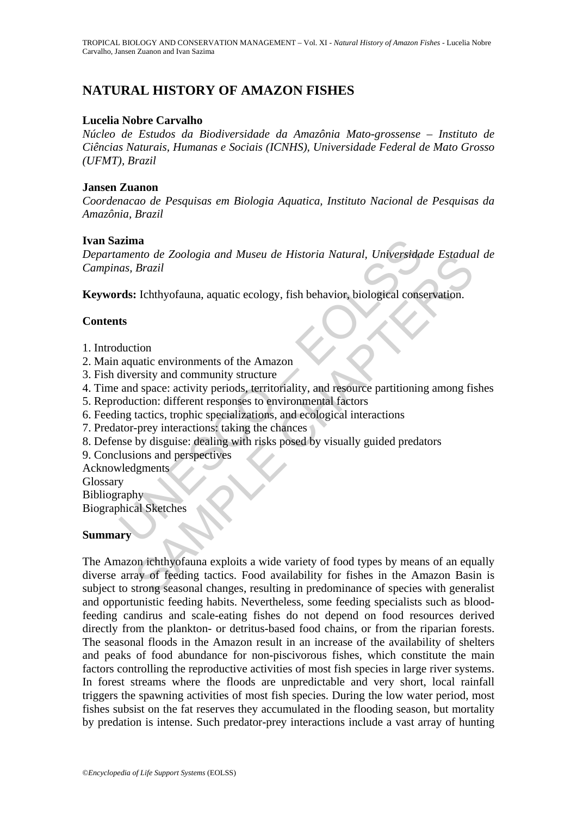## **NATURAL HISTORY OF AMAZON FISHES**

#### **Lucelia Nobre Carvalho**

*Núcleo de Estudos da Biodiversidade da Amazônia Mato-grossense – Instituto de Ciências Naturais, Humanas e Sociais (ICNHS), Universidade Federal de Mato Grosso (UFMT), Brazil* 

#### **Jansen Zuanon**

*Coordenacao de Pesquisas em Biologia Aquatica, Instituto Nacional de Pesquisas da Amazônia, Brazil* 

#### **Ivan Sazima**

Example the Zoologia and Museu de Historia Natural, Universida<br>
as, Brazil<br>
as, Brazil<br>
as, Brazil<br>
as, Brazil<br>
as, Exploration, aquatic ecology, fish behavior, biological cons<br>
s<br>
s<br>
s<br>
duction<br>
aquatic environments of th *Departamento de Zoologia and Museu de Historia Natural, Universidade Estadual de Campinas, Brazil* 

**Keywords:** Ichthyofauna, aquatic ecology, fish behavior, biological conservation.

### **Contents**

- 1. Introduction
- 2. Main aquatic environments of the Amazon
- 3. Fish diversity and community structure
- 4. Time and space: activity periods, territoriality, and resource partitioning among fishes
- 5. Reproduction: different responses to environmental factors
- 6. Feeding tactics, trophic specializations, and ecological interactions
- 7. Predator-prey interactions: taking the chances
- 8. Defense by disguise: dealing with risks posed by visually guided predators
- 9. Conclusions and perspectives
- Acknowledgments
- **Glossary**

Bibliography

Biographical Sketches

### **Summary**

mo ae Zoologia ana Museu ae Historia Vanural, Universiadae Estatua<br>Brazil<br>I : Ichthyofauna, aquatic ecology, fish behavior, biological conservation.<br>
ition<br>
uatic environments of the Amazon<br>
ersity and community structure<br> The Amazon ichthyofauna exploits a wide variety of food types by means of an equally diverse array of feeding tactics. Food availability for fishes in the Amazon Basin is subject to strong seasonal changes, resulting in predominance of species with generalist and opportunistic feeding habits. Nevertheless, some feeding specialists such as bloodfeeding candirus and scale-eating fishes do not depend on food resources derived directly from the plankton- or detritus-based food chains, or from the riparian forests. The seasonal floods in the Amazon result in an increase of the availability of shelters and peaks of food abundance for non-piscivorous fishes, which constitute the main factors controlling the reproductive activities of most fish species in large river systems. In forest streams where the floods are unpredictable and very short, local rainfall triggers the spawning activities of most fish species. During the low water period, most fishes subsist on the fat reserves they accumulated in the flooding season, but mortality by predation is intense. Such predator-prey interactions include a vast array of hunting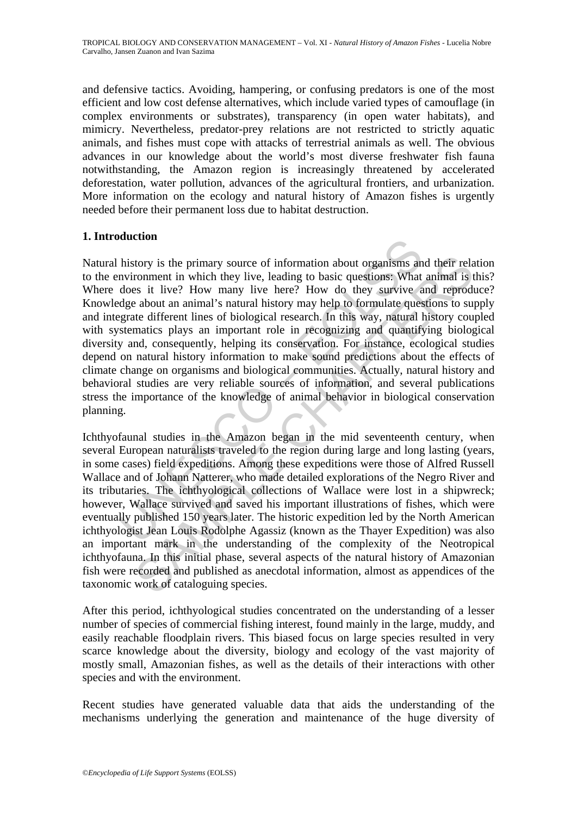and defensive tactics. Avoiding, hampering, or confusing predators is one of the most efficient and low cost defense alternatives, which include varied types of camouflage (in complex environments or substrates), transparency (in open water habitats), and mimicry. Nevertheless, predator-prey relations are not restricted to strictly aquatic animals, and fishes must cope with attacks of terrestrial animals as well. The obvious advances in our knowledge about the world's most diverse freshwater fish fauna notwithstanding, the Amazon region is increasingly threatened by accelerated deforestation, water pollution, advances of the agricultural frontiers, and urbanization. More information on the ecology and natural history of Amazon fishes is urgently needed before their permanent loss due to habitat destruction.

## **1. Introduction**

history is the primary source of information about organisms an nvironment in which they live, leading to basic questions: What does it live? How many live here? How do they survive a dge about an animal's natural history tory is the primary source of information about organisms and their relations. What animal is set it live? How many live here? How do they survive and reproducts as a it use about an animal's natural history may help to fo Natural history is the primary source of information about organisms and their relation to the environment in which they live, leading to basic questions: What animal is this? Where does it live? How many live here? How do they survive and reproduce? Knowledge about an animal's natural history may help to formulate questions to supply and integrate different lines of biological research. In this way, natural history coupled with systematics plays an important role in recognizing and quantifying biological diversity and, consequently, helping its conservation. For instance, ecological studies depend on natural history information to make sound predictions about the effects of climate change on organisms and biological communities. Actually, natural history and behavioral studies are very reliable sources of information, and several publications stress the importance of the knowledge of animal behavior in biological conservation planning.

Ichthyofaunal studies in the Amazon began in the mid seventeenth century, when several European naturalists traveled to the region during large and long lasting (years, in some cases) field expeditions. Among these expeditions were those of Alfred Russell Wallace and of Johann Natterer, who made detailed explorations of the Negro River and its tributaries. The ichthyological collections of Wallace were lost in a shipwreck; however, Wallace survived and saved his important illustrations of fishes, which were eventually published 150 years later. The historic expedition led by the North American ichthyologist Jean Louis Rodolphe Agassiz (known as the Thayer Expedition) was also an important mark in the understanding of the complexity of the Neotropical ichthyofauna. In this initial phase, several aspects of the natural history of Amazonian fish were recorded and published as anecdotal information, almost as appendices of the taxonomic work of cataloguing species.

After this period, ichthyological studies concentrated on the understanding of a lesser number of species of commercial fishing interest, found mainly in the large, muddy, and easily reachable floodplain rivers. This biased focus on large species resulted in very scarce knowledge about the diversity, biology and ecology of the vast majority of mostly small, Amazonian fishes, as well as the details of their interactions with other species and with the environment.

Recent studies have generated valuable data that aids the understanding of the mechanisms underlying the generation and maintenance of the huge diversity of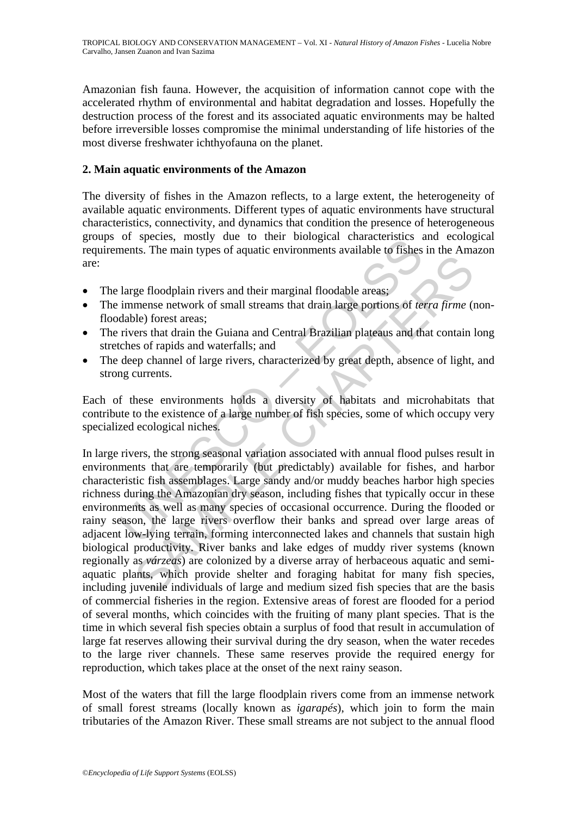Amazonian fish fauna. However, the acquisition of information cannot cope with the accelerated rhythm of environmental and habitat degradation and losses. Hopefully the destruction process of the forest and its associated aquatic environments may be halted before irreversible losses compromise the minimal understanding of life histories of the most diverse freshwater ichthyofauna on the planet.

### **2. Main aquatic environments of the Amazon**

The diversity of fishes in the Amazon reflects, to a large extent, the heterogeneity of available aquatic environments. Different types of aquatic environments have structural characteristics, connectivity, and dynamics that condition the presence of heterogeneous groups of species, mostly due to their biological characteristics and ecological requirements. The main types of aquatic environments available to fishes in the Amazon are:

- The large floodplain rivers and their marginal floodable areas;
- The immense network of small streams that drain large portions of *terra firme* (nonfloodable) forest areas;
- The rivers that drain the Guiana and Central Brazilian plateaus and that contain long stretches of rapids and waterfalls; and
- The deep channel of large rivers, characterized by great depth, absence of light, and strong currents.

Each of these environments holds a diversity of habitats and microhabitats that contribute to the existence of a large number of fish species, some of which occupy very specialized ecological niches.

or species, mostry due to their biological characteristics and<br>ments. The main types of aquatic environments available to fishes<br>large floodplain rivers and their marginal floodable areas;<br>immense network of small streams ge floodplain rivers and their marginal floodable areas;<br>ge floodplain rivers and their marginal floodable areas;<br>mense network of small streams that drain large portions of *terra firme* (1<br>ele) forest areas;<br>ers that dra In large rivers, the strong seasonal variation associated with annual flood pulses result in environments that are temporarily (but predictably) available for fishes, and harbor characteristic fish assemblages. Large sandy and/or muddy beaches harbor high species richness during the Amazonian dry season, including fishes that typically occur in these environments as well as many species of occasional occurrence. During the flooded or rainy season, the large rivers overflow their banks and spread over large areas of adjacent low-lying terrain, forming interconnected lakes and channels that sustain high biological productivity. River banks and lake edges of muddy river systems (known regionally as *várzeas*) are colonized by a diverse array of herbaceous aquatic and semiaquatic plants, which provide shelter and foraging habitat for many fish species, including juvenile individuals of large and medium sized fish species that are the basis of commercial fisheries in the region. Extensive areas of forest are flooded for a period of several months, which coincides with the fruiting of many plant species. That is the time in which several fish species obtain a surplus of food that result in accumulation of large fat reserves allowing their survival during the dry season, when the water recedes to the large river channels. These same reserves provide the required energy for reproduction, which takes place at the onset of the next rainy season.

Most of the waters that fill the large floodplain rivers come from an immense network of small forest streams (locally known as *igarapés*), which join to form the main tributaries of the Amazon River. These small streams are not subject to the annual flood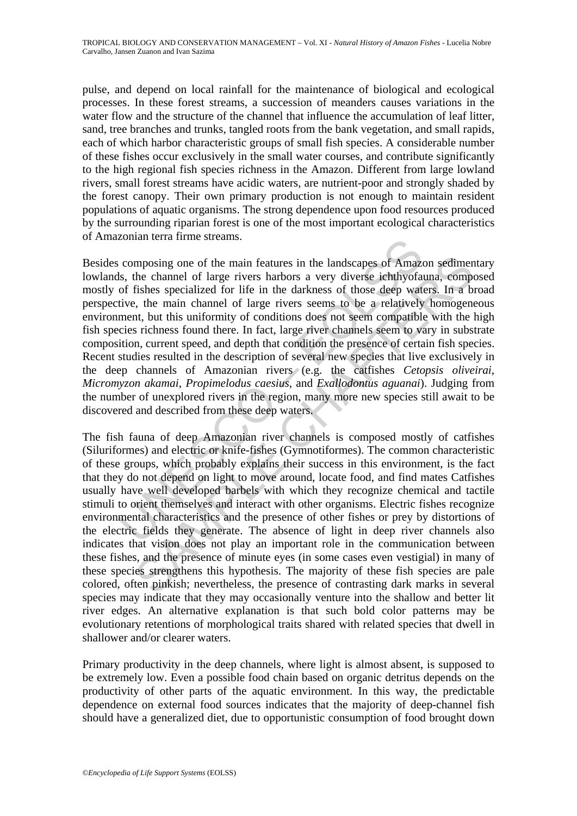pulse, and depend on local rainfall for the maintenance of biological and ecological processes. In these forest streams, a succession of meanders causes variations in the water flow and the structure of the channel that influence the accumulation of leaf litter, sand, tree branches and trunks, tangled roots from the bank vegetation, and small rapids, each of which harbor characteristic groups of small fish species. A considerable number of these fishes occur exclusively in the small water courses, and contribute significantly to the high regional fish species richness in the Amazon. Different from large lowland rivers, small forest streams have acidic waters, are nutrient-poor and strongly shaded by the forest canopy. Their own primary production is not enough to maintain resident populations of aquatic organisms. The strong dependence upon food resources produced by the surrounding riparian forest is one of the most important ecological characteristics of Amazonian terra firme streams.

composing one of the main features in the landscapes of Amaz<br>
s, the channel of large rivers harbors a very diverse iehthyofa<br>
s, the channel of large rivers harbors a very diverse iehthyofa<br>
of fishes specialized for life Besides composing one of the main features in the landscapes of Amazon sedimentary lowlands, the channel of large rivers harbors a very diverse ichthyofauna, composed mostly of fishes specialized for life in the darkness of those deep waters. In a broad perspective, the main channel of large rivers seems to be a relatively homogeneous environment, but this uniformity of conditions does not seem compatible with the high fish species richness found there. In fact, large river channels seem to vary in substrate composition, current speed, and depth that condition the presence of certain fish species. Recent studies resulted in the description of several new species that live exclusively in the deep channels of Amazonian rivers (e.g. the catfishes *Cetopsis oliveirai*, *Micromyzon akamai*, *Propimelodus caesius*, and *Exallodontus aguanai*). Judging from the number of unexplored rivers in the region, many more new species still await to be discovered and described from these deep waters.

mposing one of the main features in the landscapes of Amazon sediment<br>the channel of large rivers harbors a very diverse ichthyofauna, comp<br>fishes specialized for life in the darkness of those deep waters. In a bi<br>fishes p The fish fauna of deep Amazonian river channels is composed mostly of catfishes (Siluriformes) and electric or knife-fishes (Gymnotiformes). The common characteristic of these groups, which probably explains their success in this environment, is the fact that they do not depend on light to move around, locate food, and find mates Catfishes usually have well developed barbels with which they recognize chemical and tactile stimuli to orient themselves and interact with other organisms. Electric fishes recognize environmental characteristics and the presence of other fishes or prey by distortions of the electric fields they generate. The absence of light in deep river channels also indicates that vision does not play an important role in the communication between these fishes, and the presence of minute eyes (in some cases even vestigial) in many of these species strengthens this hypothesis. The majority of these fish species are pale colored, often pinkish; nevertheless, the presence of contrasting dark marks in several species may indicate that they may occasionally venture into the shallow and better lit river edges. An alternative explanation is that such bold color patterns may be evolutionary retentions of morphological traits shared with related species that dwell in shallower and/or clearer waters.

Primary productivity in the deep channels, where light is almost absent, is supposed to be extremely low. Even a possible food chain based on organic detritus depends on the productivity of other parts of the aquatic environment. In this way, the predictable dependence on external food sources indicates that the majority of deep-channel fish should have a generalized diet, due to opportunistic consumption of food brought down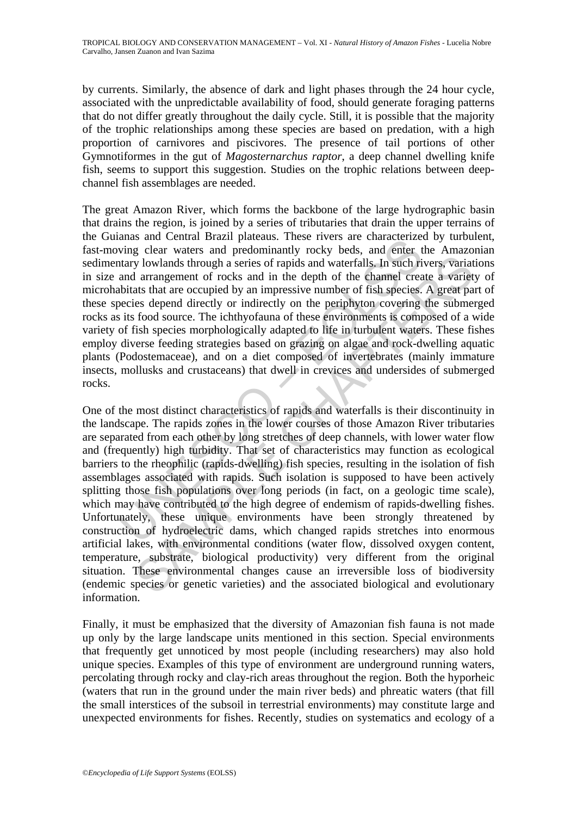by currents. Similarly, the absence of dark and light phases through the 24 hour cycle, associated with the unpredictable availability of food, should generate foraging patterns that do not differ greatly throughout the daily cycle. Still, it is possible that the majority of the trophic relationships among these species are based on predation, with a high proportion of carnivores and piscivores. The presence of tail portions of other Gymnotiformes in the gut of *Magosternarchus raptor*, a deep channel dwelling knife fish, seems to support this suggestion. Studies on the trophic relations between deepchannel fish assemblages are needed.

ansa an Centra Darazzi prateatas. These tives are characterized<br>ving clear waters and predominantly rocky beds, and enter t<br>attary lowlands through a series of rapids and waterfalls. In such ri<br>and arrangement of rocks and The great Amazon River, which forms the backbone of the large hydrographic basin that drains the region, is joined by a series of tributaries that drain the upper terrains of the Guianas and Central Brazil plateaus. These rivers are characterized by turbulent, fast-moving clear waters and predominantly rocky beds, and enter the Amazonian sedimentary lowlands through a series of rapids and waterfalls. In such rivers, variations in size and arrangement of rocks and in the depth of the channel create a variety of microhabitats that are occupied by an impressive number of fish species. A great part of these species depend directly or indirectly on the periphyton covering the submerged rocks as its food source. The ichthyofauna of these environments is composed of a wide variety of fish species morphologically adapted to life in turbulent waters. These fishes employ diverse feeding strategies based on grazing on algae and rock-dwelling aquatic plants (Podostemaceae), and on a diet composed of invertebrates (mainly immature insects, mollusks and crustaceans) that dwell in crevices and undersides of submerged rocks.

by lowlands through a series of rapids and waterfalls. In such rivers, variated a rarangement of rocks and in the depth of the channel create a variet at state that are occupied by an impressive number of fish species. A g One of the most distinct characteristics of rapids and waterfalls is their discontinuity in the landscape. The rapids zones in the lower courses of those Amazon River tributaries are separated from each other by long stretches of deep channels, with lower water flow and (frequently) high turbidity. That set of characteristics may function as ecological barriers to the rheophilic (rapids-dwelling) fish species, resulting in the isolation of fish assemblages associated with rapids. Such isolation is supposed to have been actively splitting those fish populations over long periods (in fact, on a geologic time scale), which may have contributed to the high degree of endemism of rapids-dwelling fishes. Unfortunately, these unique environments have been strongly threatened by construction of hydroelectric dams, which changed rapids stretches into enormous artificial lakes, with environmental conditions (water flow, dissolved oxygen content, temperature, substrate, biological productivity) very different from the original situation. These environmental changes cause an irreversible loss of biodiversity (endemic species or genetic varieties) and the associated biological and evolutionary information.

Finally, it must be emphasized that the diversity of Amazonian fish fauna is not made up only by the large landscape units mentioned in this section. Special environments that frequently get unnoticed by most people (including researchers) may also hold unique species. Examples of this type of environment are underground running waters, percolating through rocky and clay-rich areas throughout the region. Both the hyporheic (waters that run in the ground under the main river beds) and phreatic waters (that fill the small interstices of the subsoil in terrestrial environments) may constitute large and unexpected environments for fishes. Recently, studies on systematics and ecology of a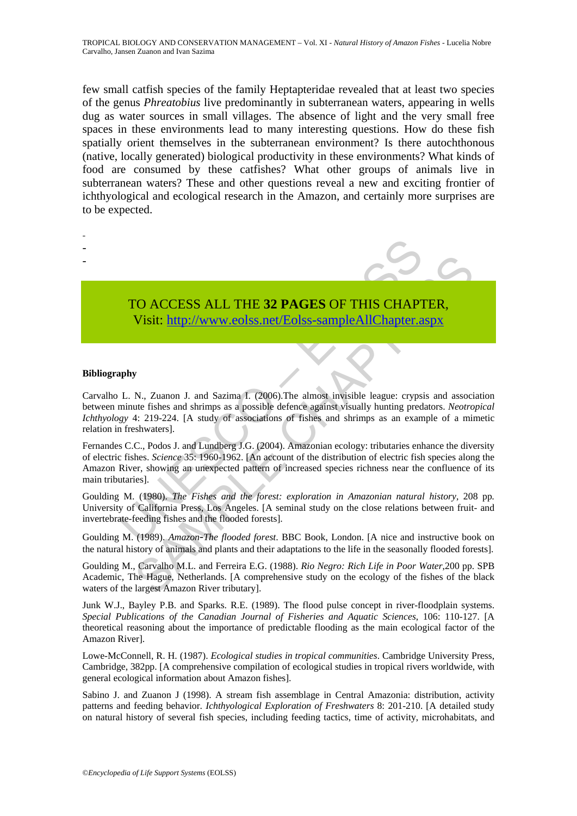few small catfish species of the family Heptapteridae revealed that at least two species of the genus *Phreatobius* live predominantly in subterranean waters, appearing in wells dug as water sources in small villages. The absence of light and the very small free spaces in these environments lead to many interesting questions. How do these fish spatially orient themselves in the subterranean environment? Is there autochthonous (native, locally generated) biological productivity in these environments? What kinds of food are consumed by these catfishes? What other groups of animals live in subterranean waters? These and other questions reveal a new and exciting frontier of ichthyological and ecological research in the Amazon, and certainly more surprises are to be expected.

- -
- -
- -

# TO ACCESS ALL THE **32 PAGES** OF THIS CHAPTER,

Visit: http://www.eolss.net/Eolss-sampleAllChapter.aspx

#### **Bibliography**

Carvalho L. N., Zuanon J. and Sazima I. (2006).The almost invisible league: crypsis and association between minute fishes and shrimps as a possible defence against visually hunting predators. *Neotropical Ichthyology* 4: 219-224. [A study of associations of fishes and shrimps as an example of a mimetic relation in freshwaters].

TO ACCESS ALL THE 32 PAGES OF THIS CHAPT<br>Visit: http://www.eolss.net/Eolss-sampleAllChapter.a<br>phy<br>phy<br>L. N., Zuanon J. and Sazima I. (2006).The almost invisible league: crypsi<br>minute fishes and shrimps as a possible defenc **TO ACCESS ALL THE 32 PAGES OF THIS CHAP[TER](https://www.eolss.net/ebooklib/sc_cart.aspx?File=E6-142-CS-07),**<br>
Visit: http://www.eolss.net/Eolss-sampleAllChapter.aspx<br>
N., Zuanon J. and Sazima 1. (2006).The almost invisible league: crypsis and associate<br>
the 219-224. [A study of assoc Fernandes C.C., Podos J. and Lundberg J.G. (2004). Amazonian ecology: tributaries enhance the diversity of electric fishes. *Science* 35: 1960-1962. [An account of the distribution of electric fish species along the Amazon River, showing an unexpected pattern of increased species richness near the confluence of its main tributaries].

Goulding M. (1980). *The Fishes and the forest: exploration in Amazonian natural history,* 208 pp*.*  University of California Press, Los Angeles. [A seminal study on the close relations between fruit- and invertebrate-feeding fishes and the flooded forests].

Goulding M. (1989). *Amazon*-*The flooded forest*. BBC Book, London. [A nice and instructive book on the natural history of animals and plants and their adaptations to the life in the seasonally flooded forests].

Goulding M., Carvalho M.L. and Ferreira E.G. (1988). *Rio Negro: Rich Life in Poor Water*,200 pp. SPB Academic, The Hague, Netherlands. [A comprehensive study on the ecology of the fishes of the black waters of the largest Amazon River tributary].

Junk W.J., Bayley P.B. and Sparks. R.E. (1989). The flood pulse concept in river-floodplain systems. *Special Publications of the Canadian Journal of Fisheries and Aquatic Sciences*, 106: 110-127. [A theoretical reasoning about the importance of predictable flooding as the main ecological factor of the Amazon River].

Lowe-McConnell, R. H. (1987). *Ecological studies in tropical communities*. Cambridge University Press, Cambridge, 382pp. [A comprehensive compilation of ecological studies in tropical rivers worldwide, with general ecological information about Amazon fishes].

Sabino J. and Zuanon J (1998). A stream fish assemblage in Central Amazonia: distribution, activity patterns and feeding behavior. *Ichthyological Exploration of Freshwaters* 8: 201-210. [A detailed study on natural history of several fish species, including feeding tactics, time of activity, microhabitats, and